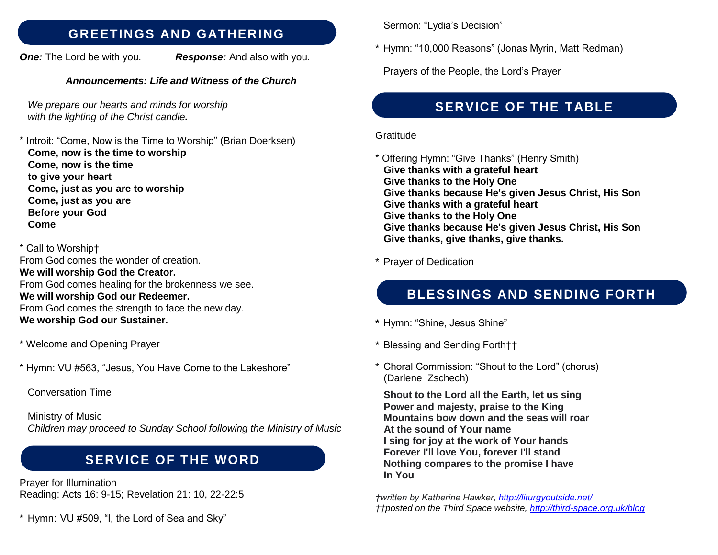#### **GREETINGS AND GATHERING**

*One:* The Lord be with you. *Response:* And also with you.

#### *Announcements: Life and Witness of the Church*

*We prepare our hearts and minds for worship with the lighting of the Christ candle.* 

\* Introit: "Come, Now is the Time to Worship" (Brian Doerksen)  **Come, now is the time to worship Come, now is the time to give your heart Come, just as you are to worship Come, just as you are Before your God Come**

\* Call to Worship† From God comes the wonder of creation. **We will worship God the Creator.** From God comes healing for the brokenness we see. **We will worship God our Redeemer.** From God comes the strength to face the new day. **We worship God our Sustainer.**

- \* Welcome and Opening Prayer
- \* Hymn: VU #563, "Jesus, You Have Come to the Lakeshore"
	- Conversation Time

Ministry of Music *Children may proceed to Sunday School following the Ministry of Music* 

## **SERVICE OF THE WORD**

Prayer for Illumination Reading: Acts 16: 9-15; Revelation 21: 10, 22-22:5

\* Hymn: VU #509, "I, the Lord of Sea and Sky"

Sermon: "Lydia's Decision"

\* Hymn: "10,000 Reasons" (Jonas Myrin, Matt Redman)

Prayers of the People, the Lord's Prayer

## **SERVICE OF THE TABLE**

#### **Gratitude**

\* Offering Hymn: "Give Thanks" (Henry Smith)  **Give thanks with a grateful heart Give thanks to the Holy One Give thanks because He's given Jesus Christ, His Son Give thanks with a grateful heart Give thanks to the Holy One Give thanks because He's given Jesus Christ, His Son Give thanks, give thanks, give thanks.**

\* Prayer of Dedication

# **BLESSINGS AND SENDING FORTH**

- **\*** Hymn: "Shine, Jesus Shine"
- \* Blessing and Sending Forth††
- \* Choral Commission: "Shout to the Lord" (chorus) (Darlene Zschech)

 **Shout to the Lord all the Earth, let us sing Power and majesty, praise to the King Mountains bow down and the seas will roar At the sound of Your name I sing for joy at the work of Your hands Forever I'll love You, forever I'll stand Nothing compares to the promise I have In You**

*†written by Katherine Hawker,<http://liturgyoutside.net/> ††posted on the Third Space website,<http://third-space.org.uk/blog>*